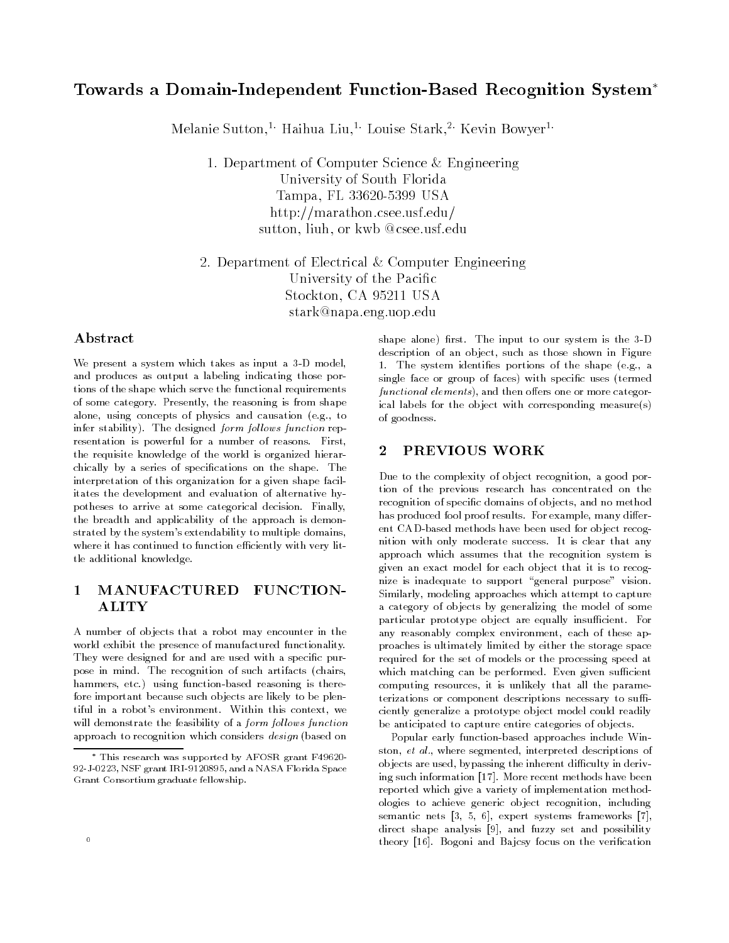# Towards a Domain-Independent Function-Based Recognition System

Melanie Sutton- Haihua Liu Louise Stark-- Kevin Bowyer

1. Department of Computer Science & Engineering University of South Florida Tampa- FL  USA http://marathon.csee.usf.edu/ sutton-benzuel in die kwampen in die kwampen van die kwampen van die kwampen van die kwampen van die kwampen v

2. Department of Electrical & Computer Engineering University of the Pacific stockton-beneficial control of the control of the control of the control of the control of the control of the c stark@napa.eng.uop.edu

## Abstract

We present a system which takes as input a system which takes as input a -base as input a -base as input a -base and produces as output a labeling indicating those por tions of the shape which serve the functional requirements of some category. Presently, the reasoning is from shape alone, using concepts of physics and causation (e.g., to infer stability). The designed form follows function representation is powerful for a number of reasons. First, the requisite knowledge of the world is organized hierar chically by a series of specifications on the shape. The interpretation of this organization for a given shape facil itates the development and evaluation of alternative hy potheses to arrive at some categorical decision. Finally, the breadth and applicability of the approach is demon strated by the system's extendability to multiple domains, where it has continued to function extends the function extends of the function extends of the function extends of the function extends of the function extends of the function extends of the function extends of the functio tle additional knowledge

### $\mathbf 1$  MANUFACTURED FUNCTION ALITY

A number of ob jects that a robot may encounter in the world exhibit the presence of manufactured functionality They were designed for and are used with a specific purpose in mind. The recognition of such artifacts (chairs, hammers, etc.) using function-based reasoning is therefore important because such objects are likely to be plen tiful in a robot's environment. Within this context, we will demonstrate the feasibility of a *form follows function* approach to recognition which considers *design* (based on

shape alone rst The input to our system is the -D description of an object, such as those shown in Figure 1. The system identifies portions of the shape (e.g., a single face or group of faces) with specific uses (termed  $\emph{functional elements)}$ , and then offers one or more categorical labels for the object with corresponding measure(s) of goodness

#### PREVIOUS WORK  $\overline{2}$

Due to the complexity of object recognition, a good portion of the previous research has concentrated on the recognition of specific domains of objects, and no method has produced fool proof results. For example, many different CAD-based methods have been used for object recognition with only moderate success It is clear that any approach which assumes that the recognition system is given an exact model for each object that it is to recog nize is inadequate to support "general purpose" vision. Similarly, modeling approaches which attempt to capture a category of objects by generalizing the model of some particular prototype object are equally insu cient For any reasonably complex environment, each of these approaches is ultimately limited by either the storage space required for the set of models or the processing speed at which matching can be performed Even given given given given given given given given given given given given g computing resources it is unlikely that all the parame terizations or component descriptions necessary to su ciently generalize a prototype object model could readily be anticipated to capture entire categories of objects.

Popular early function-based approaches include Winston et al- where segmented interpreted descriptions of objects are used bypassing the inherent di culty in deriv ing such information [17]. More recent methods have been reported which give a variety of implementation methodologies to achieve generic object recognition, including semantic nets - in the system of the system of the system of the system of the system of the system of the system of the system of the system of the system of the system of the system of the system of the system of the sys direct shape analysis  $[9]$ , and fuzzy set and possibility theory [16]. Bogoni and Bajcsy focus on the verification

 $\pm$  1 ms research was supported by AFOSR grant F49620-  $\pm$ -J-- NSF grant IRI- and a NASA Florida Space Grant Consortium graduate fellowship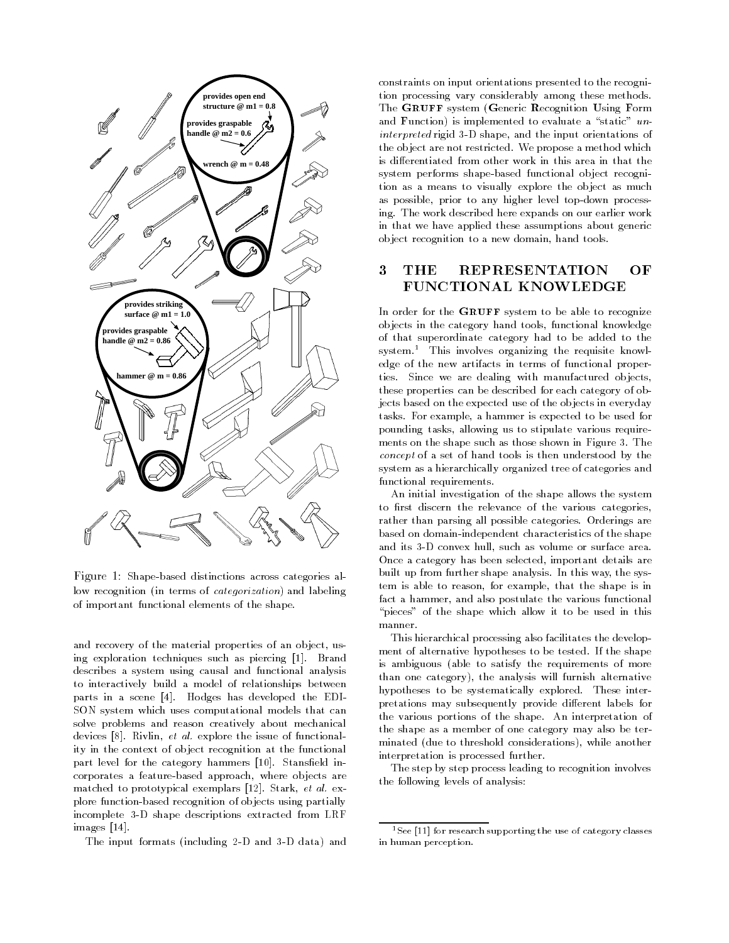

Figure - Shapebased distinctions across categories al low recognition (in terms of *categorization*) and labeling of important functional elements of the shape

and recovery of the material properties of an object, using exploration techniques such as piercing [1]. Brand describes a system using causal and functional analysis to interactively build a model of relationships between parts in a scene [4]. Hodges has developed the EDI-SON system which uses computational models that can solve problems and reason creatively about mechanical devices in the issue of functional control to the issue of functional control to the issue of functional control to the issue of functional control to the internal control to the internal control to the internal control to ity in the context of object recognition at the functional part level for the category hammers [10]. Stansfield incorporates a feature-based approach, where objects are matched to prototypical exemplars Stark et al- ex plore function-based recognition of objects using partially incomplete -D shape descriptions extracted from LRF images [14].

The input formats including D and -D data and

constraints on input orientations presented to the recogni tion processing vary considerably among these methods The GRUFF system (Generic Recognition Using Form and Function) is implemented to evaluate a "static"  $un$ interpreted rigid -D shape and the input orientations of the object are not restricted. We propose a method which is differentiated from other work in this area in that the system performs shape-based functional object recognition as a means to visually explore the object as much as possible, prior to any higher level top-down processing. The work described here expands on our earlier work in that we have applied these assumptions about generic object recognition to a new domain, hand tools.

# FUNCTIONAL KNOWLEDGE

In order for the GRUFF system to be able to recognize objects in the category hand tools, functional knowledge of that superordinate category had to be added to the system- This involves organizing the requisite knowl edge of the new artifacts in terms of functional proper ties. Since we are dealing with manufactured objects, these properties can be described for each category of ob jects based on the expected use of the objects in everyday tasks. For example, a hammer is expected to be used for pounding tasks, allowing us to stipulate various requirements on the shape such as those shown in Figure - The concept of a set of hand tools is then understood by the system as a hierarchically organized tree of categories and functional requirements

An initial investigation of the shape allows the system to first discern the relevance of the various categories, rather than parsing all possible categories Orderings are based on domain-independent characteristics of the shape and its -D convex hull such as volume or surface area Once a category has been selected, important details are built up from further shape analysis. In this way, the system is able to reason, for example, that the shape is in fact a hammer, and also postulate the various functional "pieces" of the shape which allow it to be used in this manner

This hierarchical processing also facilitates the develop ment of alternative hypotheses to be tested. If the shape is ambiguous (able to satisfy the requirements of more than one category), the analysis will furnish alternative hypotheses to be systematically explored. These interpretations may subsequently provide different labels for the various portions of the shape An interpretation of the shape as a member of one category may also be ter minated (due to threshold considerations), while another interpretation is processed further

The step by step process leading to recognition involves the following levels of analysis

<sup>-</sup>See 
for research supporting the use of category classes in human perception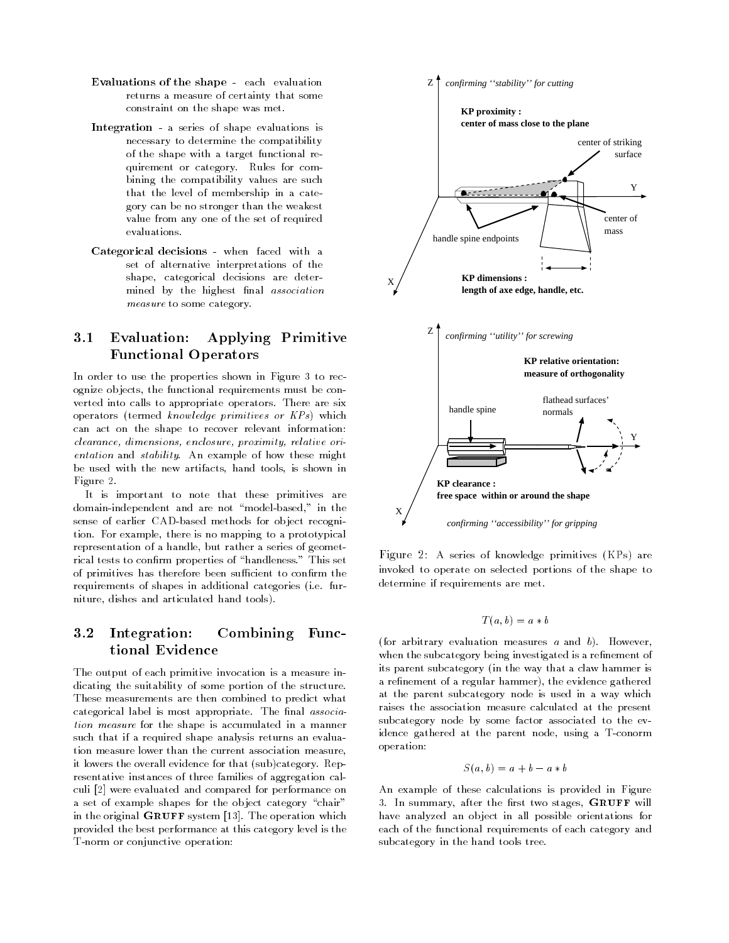- Evaluations of the shape each evaluation returns a measure of certainty that some constraint on the shape was met
- Integration a series of shape evaluations is necessary to determine the compatibility of the shape with a target functional re quirement or category Rules for com bining the compatibility values are such that the level of membership in a cate gory can be no stronger than the weakest value from any one of the set of required evaluations
- Categorical decisions when faced with a set of alternative interpretations of the shape, categorical decisions are determined by the highest final *association* measure to some category.

### $3.1$ Evaluation: Applying Primitive Functional Operators

In order to use the properties shown in Figure - to recover the properties shown in Figure - to recover the properties shown in Figure - to recover the properties shown in Figure - to recover the properties of the propert ognize ob jects the functional requirements must be con verted into calls to appropriate operators. There are six operators (termed knowledge primitives or  $KPs$ ) which can act on the shape to recover relevant information clearance, dimensions, enclosure, proximity, relative orientation and stability. An example of how these might be used with the new artifacts, hand tools, is shown in Figure 2.

It is important to note that these primitives are domain-independent and are not "model-based," in the sense of earlier CAD-based methods for object recognition. For example, there is no mapping to a prototypical representation of a handle, but rather a series of geometrical tests to confirm properties of "handleness." This set cient primitives therefore and there are constant to constant the contract of the contract of the contract of  $\mathcal{C}$ requirements of shapes in additional categories (i.e. furniture, dishes and articulated hand tools).

# $3.2$ Integration: Combining Func-

The output of each primitive invocation is a measure in dicating the suitability of some portion of the structure These measurements are then combined to predict what categorical label is most appropriate. The final association measure for the shape is accumulated in a manner such that if a required shape analysis returns an evalua tion measure lower than the current association measure it lowers the overall evidence for that (sub)category. Representative instances of three families of aggregation cal culi [2] were evaluated and compared for performance on a set of example shapes for the object category "chair" in the original GRUFF system  $|z_2|$ . The operation which provided the best performance at this category level is the T-norm or conjunctive operation:



 $\Gamma$  igure  $\vartriangle$ . A series of knowledge primitives (KFs) are invoked to operate on selected portions of the shape to determine if requirements are met

$$
T(a, b) = a * b
$$

(for arbitrary evaluation measures  $a$  and  $b$ ). However, when the subcategory being investigated is a refinement of its parent subcategory (in the way that a claw hammer is a refinement of a regular hammer), the evidence gathered at the parent subcategory node is used in a way which raises the association measure calculated at the present subcategory node by some factor associated to the ev idence gathered at the parent node, using a T-conorm operation

$$
S(a, b) = a + b - a * b
$$

An example of these calculations is provided in Figure s. In summary, with the nice two stages, will will have analyzed an object in all possible orientations for each of the functional requirements of each category and subcategory in the hand tools tree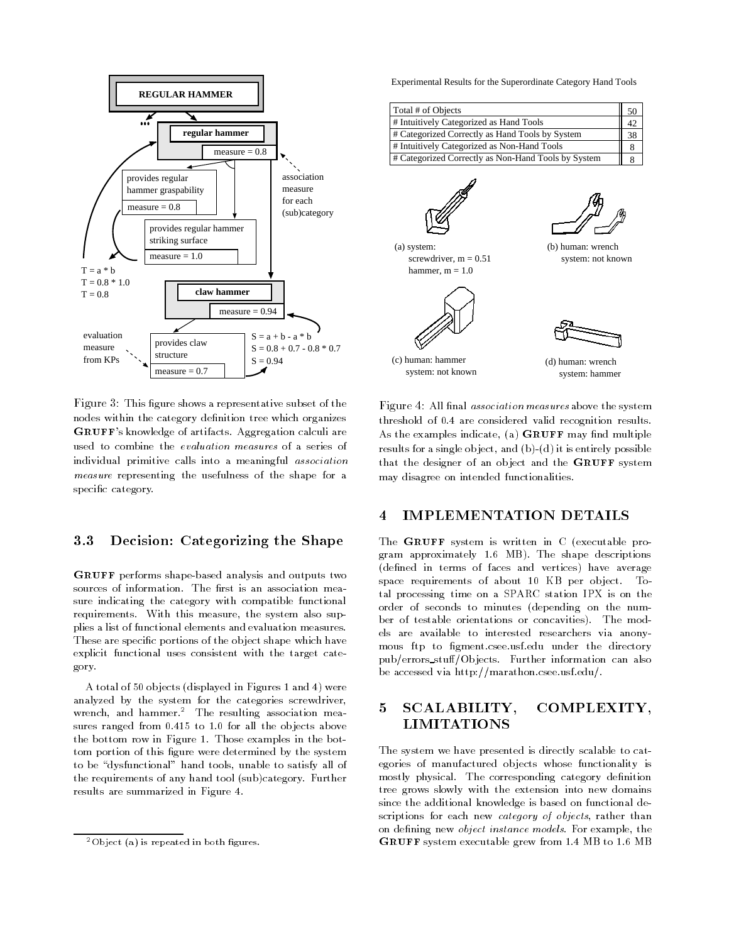

Figure This gure shows a representative subset of the nodes within the category definition tree which organizes GRUFF's knowledge of artifacts. Aggregation calculi are used to combine the evaluation measures of a series of individual primitive calls into a meaningful association measure representing the usefulness of the shape for a specific category.

#### Decision: Categorizing the Shape  $\rm 3.3$

GRUFF performs shape-based analysis and outputs two sources of information. The first is an association measure indicating the category with compatible functional requirements. With this measure, the system also supplies a list of functional elements and evaluation measures These are specific portions of the object shape which have explicit functional uses consistent with the target cate gory

A total of 50 objects (displayed in Figures 1 and 4) were analyzed by the system for the categories screwdriver wrench, and hammer.<sup>2</sup> The resulting association measures ranged from  $0.415$  to  $1.0$  for all the objects above the bottom row in Figure 1. Those examples in the bottom portion of this figure were determined by the system to be "dysfunctional" hand tools, unable to satisfy all of the requirements of any hand tool (sub)category. Further results are summarized in Figure

Experimental Results for the Superordinate Category Hand Tools

| Total # of Objects                                  | 50 |
|-----------------------------------------------------|----|
| # Intuitively Categorized as Hand Tools             | 42 |
| # Categorized Correctly as Hand Tools by System     | 38 |
| # Intuitively Categorized as Non-Hand Tools         |    |
| # Categorized Correctly as Non-Hand Tools by System |    |
|                                                     |    |

(a) system: screwdriver,  $m = 0.51$ hammer,  $m = 1.0$ 





(b) human: wrench system: not known

(d) human: wrench system: hammer

 $\bf r$  igure  $\bf r$  . All mall association measures above the system threshold of 0.4 are considered valid recognition results. As the examples indicate, (a) GRUFF may find multiple results for a single object, and  $(b)-(d)$  it is entirely possible that the designer of an object and the GRUFF system may disagree on intended functionalities

#### **IMPLEMENTATION DETAILS** 4

The GRUFF system is written in C (executable program approximately 1.6 MB). The shape descriptions (defined in terms of faces and vertices) have average space requirements of about 10 KB per object. Total processing time on a SPARC station IPX is on the order of seconds to minutes depending on the num ber of testable orientations or concavities). The models are available to interested researchers via anony mous ftp to figment.csee.usf.edu under the directory pub/errors\_stuff/Objects. Further information can also be accessed via http://marathon.csee.usf.edu/.

### 5 SCALABILITY, COMPLEXITY **LIMITATIONS**

The system we have presented is directly scalable to cat egories of manufactured objects whose functionality is mostly physical. The corresponding category definition tree grows slowly with the extension into new domains since the additional knowledge is based on functional de scriptions for each new *category of objects*, rather than on defining new object instance models. For example, the GRUFF system executable grew from 1.4 MB to 1.6 MB

 $^{2}$ Object (a) is repeated in both figures.